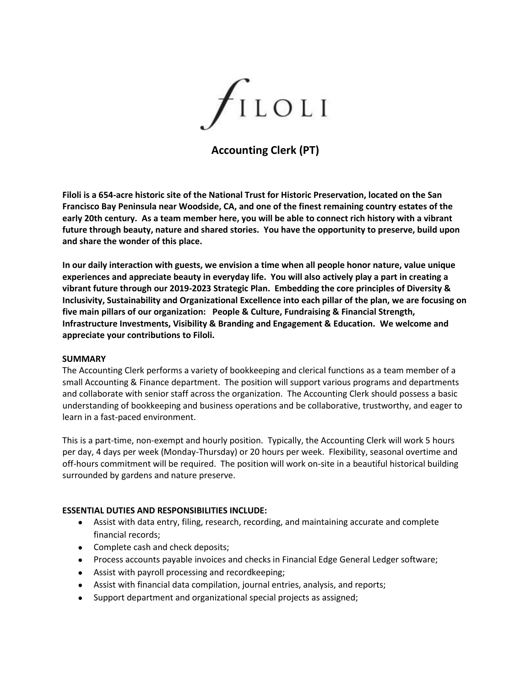

**Accounting Clerk (PT)**

**Filoli is a 654-acre historic site of the National Trust for Historic Preservation, located on the San Francisco Bay Peninsula near Woodside, CA, and one of the finest remaining country estates of the early 20th century. As a team member here, you will be able to connect rich history with a vibrant future through beauty, nature and shared stories. You have the opportunity to preserve, build upon and share the wonder of this place.**

**In our daily interaction with guests, we envision a time when all people honor nature, value unique experiences and appreciate beauty in everyday life. You will also actively play a part in creating a vibrant future through our 2019-2023 Strategic Plan. Embedding the core principles of Diversity & Inclusivity, Sustainability and Organizational Excellence into each pillar of the plan, we are focusing on five main pillars of our organization: People & Culture, Fundraising & Financial Strength, Infrastructure Investments, Visibility & Branding and Engagement & Education. We welcome and appreciate your contributions to Filoli.**

#### **SUMMARY**

The Accounting Clerk performs a variety of bookkeeping and clerical functions as a team member of a small Accounting & Finance department. The position will support various programs and departments and collaborate with senior staff across the organization. The Accounting Clerk should possess a basic understanding of bookkeeping and business operations and be collaborative, trustworthy, and eager to learn in a fast-paced environment.

This is a part-time, non-exempt and hourly position. Typically, the Accounting Clerk will work 5 hours per day, 4 days per week (Monday-Thursday) or 20 hours per week. Flexibility, seasonal overtime and off-hours commitment will be required. The position will work on-site in a beautiful historical building surrounded by gardens and nature preserve.

### **ESSENTIAL DUTIES AND RESPONSIBILITIES INCLUDE:**

- Assist with data entry, filing, research, recording, and maintaining accurate and complete financial records;
- Complete cash and check deposits;
- Process accounts payable invoices and checks in Financial Edge General Ledger software;
- Assist with payroll processing and recordkeeping;
- Assist with financial data compilation, journal entries, analysis, and reports;
- Support department and organizational special projects as assigned;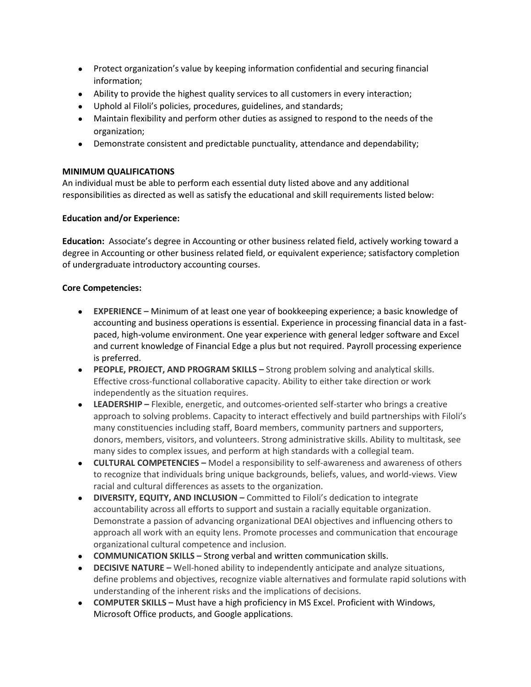- Protect organization's value by keeping information confidential and securing financial information;
- Ability to provide the highest quality services to all customers in every interaction;
- Uphold al Filoli's policies, procedures, guidelines, and standards;
- Maintain flexibility and perform other duties as assigned to respond to the needs of the organization;
- Demonstrate consistent and predictable punctuality, attendance and dependability;

# **MINIMUM QUALIFICATIONS**

An individual must be able to perform each essential duty listed above and any additional responsibilities as directed as well as satisfy the educational and skill requirements listed below:

### **Education and/or Experience:**

**Education:** Associate's degree in Accounting or other business related field, actively working toward a degree in Accounting or other business related field, or equivalent experience; satisfactory completion of undergraduate introductory accounting courses.

### **Core Competencies:**

- **EXPERIENCE –** Minimum of at least one year of bookkeeping experience; a basic knowledge of accounting and business operations is essential. Experience in processing financial data in a fastpaced, high-volume environment. One year experience with general ledger software and Excel and current knowledge of Financial Edge a plus but not required. Payroll processing experience is preferred.
- **PEOPLE, PROJECT, AND PROGRAM SKILLS –** Strong problem solving and analytical skills. Effective cross-functional collaborative capacity. Ability to either take direction or work independently as the situation requires.
- **LEADERSHIP –** Flexible, energetic, and outcomes-oriented self-starter who brings a creative approach to solving problems. Capacity to interact effectively and build partnerships with Filoli's many constituencies including staff, Board members, community partners and supporters, donors, members, visitors, and volunteers. Strong administrative skills. Ability to multitask, see many sides to complex issues, and perform at high standards with a collegial team.
- **CULTURAL COMPETENCIES –** Model a responsibility to self-awareness and awareness of others to recognize that individuals bring unique backgrounds, beliefs, values, and world-views. View racial and cultural differences as assets to the organization.
- **DIVERSITY, EQUITY, AND INCLUSION –** Committed to Filoli's dedication to integrate accountability across all efforts to support and sustain a racially equitable organization. Demonstrate a passion of advancing organizational DEAI objectives and influencing others to approach all work with an equity lens. Promote processes and communication that encourage organizational cultural competence and inclusion.
- **COMMUNICATION SKILLS –** Strong verbal and written communication skills.
- **•** DECISIVE NATURE Well-honed ability to independently anticipate and analyze situations, define problems and objectives, recognize viable alternatives and formulate rapid solutions with understanding of the inherent risks and the implications of decisions.
- **COMPUTER SKILLS –** Must have a high proficiency in MS Excel. Proficient with Windows, Microsoft Office products, and Google applications.